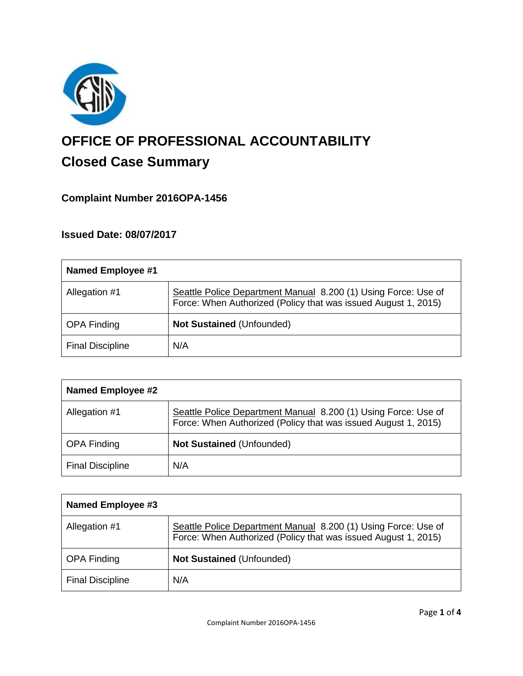

# **OFFICE OF PROFESSIONAL ACCOUNTABILITY Closed Case Summary**

# **Complaint Number 2016OPA-1456**

# **Issued Date: 08/07/2017**

| Named Employee #1       |                                                                                                                                  |
|-------------------------|----------------------------------------------------------------------------------------------------------------------------------|
| Allegation #1           | Seattle Police Department Manual 8.200 (1) Using Force: Use of<br>Force: When Authorized (Policy that was issued August 1, 2015) |
| <b>OPA Finding</b>      | <b>Not Sustained (Unfounded)</b>                                                                                                 |
| <b>Final Discipline</b> | N/A                                                                                                                              |

| <b>Named Employee #2</b> |                                                                                                                                  |
|--------------------------|----------------------------------------------------------------------------------------------------------------------------------|
| Allegation #1            | Seattle Police Department Manual 8.200 (1) Using Force: Use of<br>Force: When Authorized (Policy that was issued August 1, 2015) |
| <b>OPA Finding</b>       | <b>Not Sustained (Unfounded)</b>                                                                                                 |
| <b>Final Discipline</b>  | N/A                                                                                                                              |

| Named Employee #3       |                                                                                                                                  |
|-------------------------|----------------------------------------------------------------------------------------------------------------------------------|
| Allegation #1           | Seattle Police Department Manual 8.200 (1) Using Force: Use of<br>Force: When Authorized (Policy that was issued August 1, 2015) |
| <b>OPA Finding</b>      | <b>Not Sustained (Unfounded)</b>                                                                                                 |
| <b>Final Discipline</b> | N/A                                                                                                                              |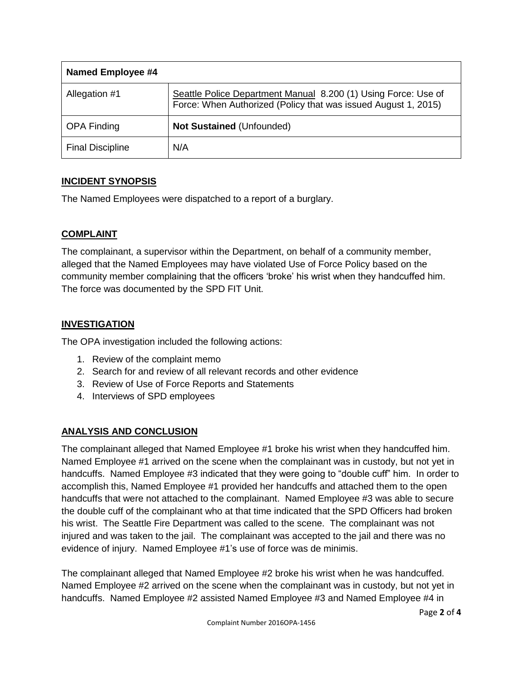| Named Employee #4       |                                                                                                                                  |
|-------------------------|----------------------------------------------------------------------------------------------------------------------------------|
| Allegation #1           | Seattle Police Department Manual 8.200 (1) Using Force: Use of<br>Force: When Authorized (Policy that was issued August 1, 2015) |
| <b>OPA Finding</b>      | <b>Not Sustained (Unfounded)</b>                                                                                                 |
| <b>Final Discipline</b> | N/A                                                                                                                              |

# **INCIDENT SYNOPSIS**

The Named Employees were dispatched to a report of a burglary.

# **COMPLAINT**

The complainant, a supervisor within the Department, on behalf of a community member, alleged that the Named Employees may have violated Use of Force Policy based on the community member complaining that the officers 'broke' his wrist when they handcuffed him. The force was documented by the SPD FIT Unit.

# **INVESTIGATION**

The OPA investigation included the following actions:

- 1. Review of the complaint memo
- 2. Search for and review of all relevant records and other evidence
- 3. Review of Use of Force Reports and Statements
- 4. Interviews of SPD employees

# **ANALYSIS AND CONCLUSION**

The complainant alleged that Named Employee #1 broke his wrist when they handcuffed him. Named Employee #1 arrived on the scene when the complainant was in custody, but not yet in handcuffs. Named Employee #3 indicated that they were going to "double cuff" him. In order to accomplish this, Named Employee #1 provided her handcuffs and attached them to the open handcuffs that were not attached to the complainant. Named Employee #3 was able to secure the double cuff of the complainant who at that time indicated that the SPD Officers had broken his wrist. The Seattle Fire Department was called to the scene. The complainant was not injured and was taken to the jail. The complainant was accepted to the jail and there was no evidence of injury. Named Employee #1's use of force was de minimis.

The complainant alleged that Named Employee #2 broke his wrist when he was handcuffed. Named Employee #2 arrived on the scene when the complainant was in custody, but not yet in handcuffs. Named Employee #2 assisted Named Employee #3 and Named Employee #4 in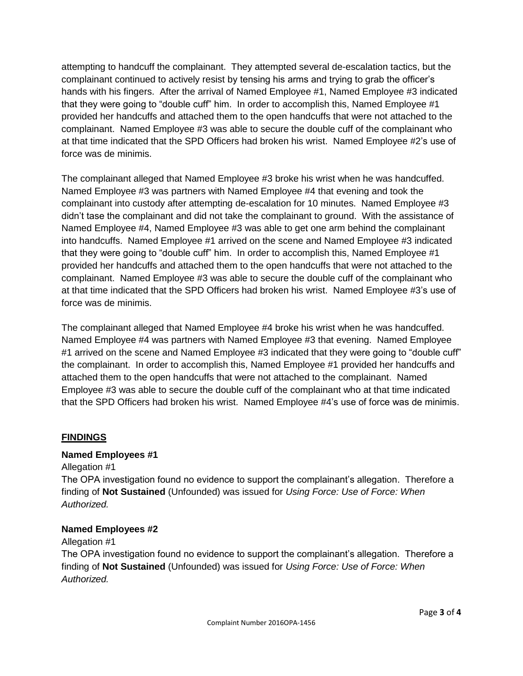attempting to handcuff the complainant. They attempted several de-escalation tactics, but the complainant continued to actively resist by tensing his arms and trying to grab the officer's hands with his fingers. After the arrival of Named Employee #1, Named Employee #3 indicated that they were going to "double cuff" him. In order to accomplish this, Named Employee #1 provided her handcuffs and attached them to the open handcuffs that were not attached to the complainant. Named Employee #3 was able to secure the double cuff of the complainant who at that time indicated that the SPD Officers had broken his wrist. Named Employee #2's use of force was de minimis.

The complainant alleged that Named Employee #3 broke his wrist when he was handcuffed. Named Employee #3 was partners with Named Employee #4 that evening and took the complainant into custody after attempting de-escalation for 10 minutes. Named Employee #3 didn't tase the complainant and did not take the complainant to ground. With the assistance of Named Employee #4, Named Employee #3 was able to get one arm behind the complainant into handcuffs. Named Employee #1 arrived on the scene and Named Employee #3 indicated that they were going to "double cuff" him. In order to accomplish this, Named Employee #1 provided her handcuffs and attached them to the open handcuffs that were not attached to the complainant. Named Employee #3 was able to secure the double cuff of the complainant who at that time indicated that the SPD Officers had broken his wrist. Named Employee #3's use of force was de minimis.

The complainant alleged that Named Employee #4 broke his wrist when he was handcuffed. Named Employee #4 was partners with Named Employee #3 that evening. Named Employee #1 arrived on the scene and Named Employee #3 indicated that they were going to "double cuff" the complainant. In order to accomplish this, Named Employee #1 provided her handcuffs and attached them to the open handcuffs that were not attached to the complainant. Named Employee #3 was able to secure the double cuff of the complainant who at that time indicated that the SPD Officers had broken his wrist. Named Employee #4's use of force was de minimis.

### **FINDINGS**

### **Named Employees #1**

Allegation #1 The OPA investigation found no evidence to support the complainant's allegation. Therefore a finding of **Not Sustained** (Unfounded) was issued for *Using Force: Use of Force: When Authorized.*

### **Named Employees #2**

Allegation #1

The OPA investigation found no evidence to support the complainant's allegation. Therefore a finding of **Not Sustained** (Unfounded) was issued for *Using Force: Use of Force: When Authorized.*